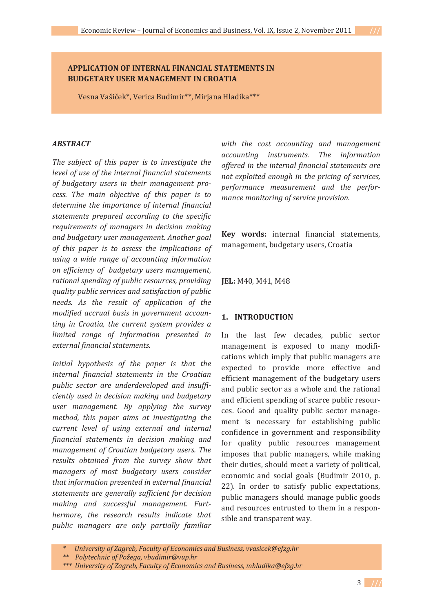## **APPLICATION OF INTERNAL FINANCIAL STATEMENTS IN BUDGETARY USER MANAGEMENT IN CROATIA**

Vesna Vašiček\*, Verica Budimir\*\*, Mirjana Hladika\*\*\*

### *ABSTRACT*

*The subject of this paper is to investigate the level of use of the internal financial statements of budgetary users in their management proǦ cess. The main objective of this paper is to determine the importance of internal financial statements prepared according to the specific requirements of managers in decision making and budgetary user management. Another goal of this paper is to assess the implications of using a wide range of accounting information on efficiency ofbudgetary users management, rational spending of public resources, providing quality public services and satisfaction of public needs. As the result of application of the modified accrual basis in government accounting in Croatia, the current system provides a limited range of information presented in external financial statements.*

*Initial hypothesis of the paper is that the internal financial statements in the Croatian public sector are underdeveloped and insuffiǦ ciently used in decision making and budgetary user management. By applying the survey method, this paper aims at investigating the current level of using external and internal financial statements in decision making and management of Croatian budgetary users. The results obtained from the survey show that managers of most budgetary users consider that information presented in external financial statements are generally sufficient for decision making* and *successful* management. Furt*hermore, the research results indicate that public managers are only partially familiar*

*with the cost accounting and management accounting instruments. The information offered in the internal financial statements are not exploited enough in the pricing of services, performance measurement* and *the performance monitoring of service provision.*

Key words: internal financial statements, management, budgetary users, Croatia

**JEL:** M40, M41, M48

### **1. INTRODUCTION**

In the last few decades, public sector management is exposed to many modifications which imply that public managers are expected to provide more effective and efficient management of the budgetary users and public sector as a whole and the rational and efficient spending of scarce public resources. Good and quality public sector management is necessary for establishing public confidence in government and responsibility for quality public resources management imposes that public managers, while making their duties, should meet a variety of political, economic and social goals (Budimir 2010, p. 22). In order to satisfy public expectations, public managers should manage public goods and resources entrusted to them in a responsible and transparent way.

*<sup>\*</sup> University of Zagreb, Faculty of Economics and Business, vvasicek@efzg.hr*

*<sup>\*\*</sup>Polytechnic of Požega, vbudimir@vup.hr*

*<sup>\*\*\*</sup>University of Zagreb, Faculty of Economics and Business, mhladika@efzg.hr*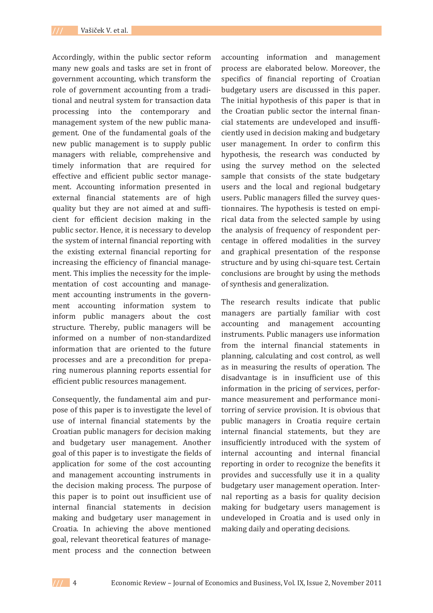Accordingly, within the public sector reform many new goals and tasks are set in front of government accounting, which transform the role of government accounting from a traditional and neutral system for transaction data processing into the contemporary and management system of the new public management. One of the fundamental goals of the new public management is to supply public managers with reliable, comprehensive and timely information that are required for effective and efficient public sector management. Accounting information presented in external financial statements are of high quality but they are not aimed at and sufficient for efficient decision making in the public sector. Hence, it is necessary to develop the system of internal financial reporting with the existing external financial reporting for increasing the efficiency of financial management. This implies the necessity for the implementation of cost accounting and management accounting instruments in the government accounting information system to inform public managers about the cost structure. Thereby, public managers will be informed on a number of non-standardized information that are oriented to the future processes and are a precondition for preparing numerous planning reports essential for efficient public resources management.

Consequently, the fundamental aim and purpose of this paper is to investigate the level of use of internal financial statements by the Croatian public managers for decision making and budgetary user management. Another goal of this paper is to investigate the fields of application for some of the cost accounting and management accounting instruments in the decision making process. The purpose of this paper is to point out insufficient use of internal financial statements in decision making and budgetary user management in Croatia. In achieving the above mentioned goal, relevant theoretical features of management process and the connection between

accounting information and management process are elaborated below. Moreover, the specifics of financial reporting of Croatian budgetary users are discussed in this paper. The initial hypothesis of this paper is that in the Croatian public sector the internal financial statements are undeveloped and insufficiently used in decision making and budgetary user management. In order to confirm this hypothesis, the research was conducted by using the survey method on the selected sample that consists of the state budgetary users and the local and regional budgetary users. Public managers filled the survey questionnaires. The hypothesis is tested on empirical data from the selected sample by using the analysis of frequency of respondent percentage in offered modalities in the survey and graphical presentation of the response structure and by using chi-square test. Certain conclusions are brought by using the methods of synthesis and generalization.

The research results indicate that public managers are partially familiar with cost accounting and management accounting instruments. Public managers use information from the internal financial statements in planning, calculating and cost control, as well as in measuring the results of operation. The disadvantage is in insufficient use of this information in the pricing of services, performance measurement and performance monitorring of service provision. It is obvious that public managers in Croatia require certain internal financial statements, but they are insufficiently introduced with the system of internal accounting and internal financial reporting in order to recognize the benefits it provides and successfully use it in a quality budgetary user management operation. Internal reporting as a basis for quality decision making for budgetary users management is undeveloped in Croatia and is used only in making daily and operating decisions.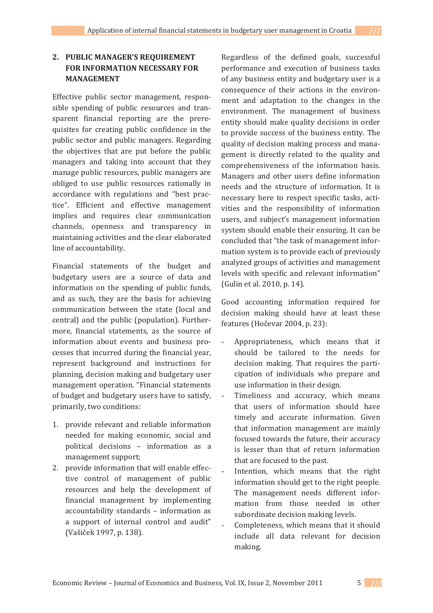# **2. PUBLIC MANAGER'S REQUIREMENT FOR INFORMATION NECESSARY FOR MANAGEMENT**

Effective public sector management, responsible spending of public resources and transparent financial reporting are the prerequisites for creating public confidence in the public sector and public managers. Regarding the objectives that are put before the public managers and taking into account that they manage public resources, public managers are obliged to use public resources rationally in accordance with regulations and "best practice". Efficient and effective management implies and requires clear communication channels, openness and transparency in maintaining activities and the clear elaborated line of accountability.

Financial statements of the budget and budgetary users are a source of data and information on the spending of public funds. and as such, they are the basis for achieving communication between the state (local and central) and the public (population). Furthermore, financial statements, as the source of information about events and business processes that incurred during the financial year, represent background and instructions for planning, decision making and budgetary user management operation. "Financial statements of budget and budgetary users have to satisfy. primarily, two conditions:

- 1. provide relevant and reliable information needed for making economic, social and political decisions - information as a management support;
- 2. provide information that will enable effective control of management of public resources and help the development of financial management by implementing accountability standards - information as a support of internal control and audit" (Vašiček 1997, p. 138).

Regardless of the defined goals, successful performance and execution of business tasks of any business entity and budgetary user is a consequence of their actions in the environment and adaptation to the changes in the environment. The management of business entity should make quality decisions in order to provide success of the business entity. The quality of decision making process and management is directly related to the quality and comprehensiveness of the information basis. Managers and other users define information needs and the structure of information. It is necessary here to respect specific tasks, activities and the responsibility of information users, and subject's management information system should enable their ensuring. It can be concluded that "the task of management information system is to provide each of previously analyzed groups of activities and management levels with specific and relevant information" (Gulin et al. 2010, p. 14).

Good accounting information required for decision making should have at least these features (Hočevar 2004, p. 23):

- Appropriateness, which means that it should be tailored to the needs for decision making. That requires the participation of individuals who prepare and use information in their design.
- Timeliness and accuracy, which means that users of information should have timely and accurate information. Given that information management are mainly focused towards the future, their accuracy is lesser than that of return information that are focused to the past.
- Intention, which means that the right information should get to the right people. The management needs different information from those needed in other subordinate decision making levels.
- Completeness, which means that it should include all data relevant for decision making.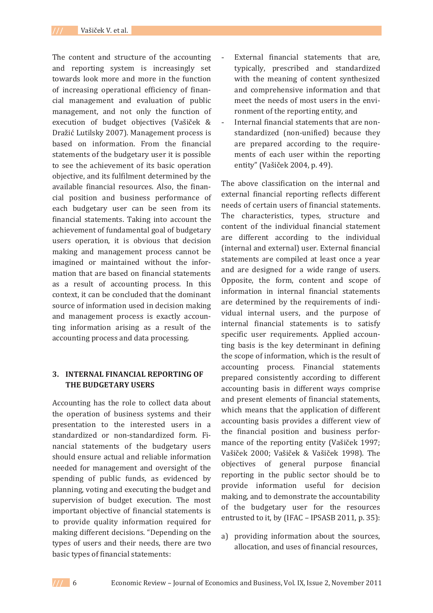The content and structure of the accounting and reporting system is increasingly set towards look more and more in the function of increasing operational efficiency of financial management and evaluation of public management, and not only the function of execution of budget objectives (Vašiček & Dražić Lutilsky 2007). Management process is based on information. From the financial statements of the budgetary user it is possible to see the achievement of its basic operation objective, and its fulfilment determined by the available financial resources. Also, the financial position and business performance of each budgetary user can be seen from its financial statements. Taking into account the achievement of fundamental goal of budgetary users operation, it is obvious that decision making and management process cannot be imagined or maintained without the information that are based on financial statements as a result of accounting process. In this context, it can be concluded that the dominant source of information used in decision making and management process is exactly accounting information arising as a result of the accounting process and data processing.

# **3. INTERNAL FINANCIAL REPORTING OF THE BUDGETARY USERS**

Accounting has the role to collect data about the operation of business systems and their presentation to the interested users in a standardized or non-standardized form. Financial statements of the budgetary users should ensure actual and reliable information needed for management and oversight of the spending of public funds, as evidenced by planning, voting and executing the budget and supervision of budget execution. The most important objective of financial statements is to provide quality information required for making different decisions. "Depending on the types of users and their needs, there are two basic types of financial statements:

- External financial statements that are, typically, prescribed and standardized with the meaning of content synthesized and comprehensive information and that meet the needs of most users in the environment of the reporting entity, and
- Internal financial statements that are nonstandardized (non-unified) because they are prepared according to the requirements of each user within the reporting entity" (Vašiček 2004, p. 49).

The above classification on the internal and external financial reporting reflects different needs of certain users of financial statements. The characteristics, types, structure and content of the individual financial statement are different according to the individual (internal and external) user. External financial statements are compiled at least once a year and are designed for a wide range of users. Opposite, the form, content and scope of information in internal financial statements are determined by the requirements of individual internal users, and the purpose of internal financial statements is to satisfy specific user requirements. Applied accounting basis is the key determinant in defining the scope of information, which is the result of accounting process. Financial statements prepared consistently according to different accounting basis in different ways comprise and present elements of financial statements, which means that the application of different accounting basis provides a different view of the financial position and business performance of the reporting entity (Vašiček 1997; Vašiček 2000; Vašiček & Vašiček 1998). The objectives of general purpose financial reporting in the public sector should be to provide information useful for decision making, and to demonstrate the accountability of the budgetary user for the resources entrusted to it, by (IFAC - IPSASB 2011, p. 35):

a) providing information about the sources, allocation, and uses of financial resources.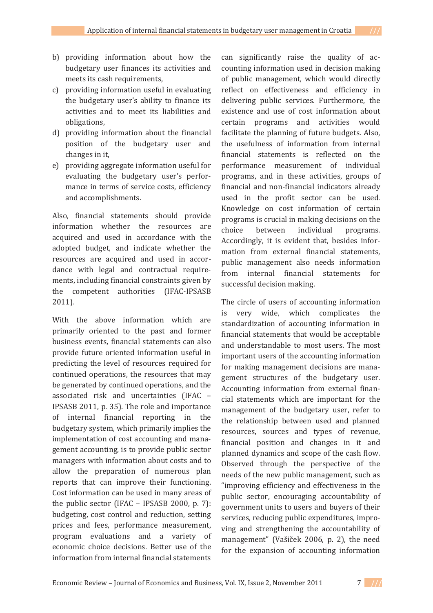- b) providing information about how the budgetary user finances its activities and meets its cash requirements,
- c) providing information useful in evaluating the budgetary user's ability to finance its activities and to meet its liabilities and obligations,
- d) providing information about the financial position of the budgetary user and changes in it,
- e) providing aggregate information useful for evaluating the budgetary user's performance in terms of service costs, efficiency and accomplishments.

Also, financial statements should provide information whether the resources are acquired and used in accordance with the adopted budget, and indicate whether the resources are acquired and used in accordance with legal and contractual requirements, including financial constraints given by the competent authorities (IFAC-IPSASB  $2011$ ).

With the above information which are primarily oriented to the past and former business events, financial statements can also provide future oriented information useful in predicting the level of resources required for continued operations, the resources that may be generated by continued operations, and the associated risk and uncertainties (IFAC -IPSASB 2011, p. 35). The role and importance of internal financial reporting in the budgetary system, which primarily implies the implementation of cost accounting and management accounting, is to provide public sector managers with information about costs and to allow the preparation of numerous plan reports that can improve their functioning. Cost information can be used in many areas of the public sector (IFAC  $-$  IPSASB 2000, p. 7): budgeting, cost control and reduction, setting prices and fees, performance measurement, program evaluations and a variety of economic choice decisions. Better use of the information from internal financial statements

can significantly raise the quality of accounting information used in decision making of public management, which would directly reflect on effectiveness and efficiency in delivering public services. Furthermore, the existence and use of cost information about certain programs and activities would facilitate the planning of future budgets. Also, the usefulness of information from internal financial statements is reflected on the performance measurement of individual programs, and in these activities, groups of financial and non-financial indicators already used in the profit sector can be used. Knowledge on cost information of certain programs is crucial in making decisions on the choice between individual programs. Accordingly, it is evident that, besides information from external financial statements, public management also needs information from internal financial statements for successful decision making.

The circle of users of accounting information is very wide, which complicates the standardization of accounting information in financial statements that would be acceptable and understandable to most users. The most important users of the accounting information for making management decisions are management structures of the budgetary user. Accounting information from external financial statements which are important for the management of the budgetary user, refer to the relationship between used and planned resources, sources and types of revenue, financial position and changes in it and planned dynamics and scope of the cash flow. Observed through the perspective of the needs of the new public management, such as "improving efficiency and effectiveness in the public sector, encouraging accountability of government units to users and buyers of their services, reducing public expenditures, improving and strengthening the accountability of management" (Vašiček 2006, p. 2), the need for the expansion of accounting information

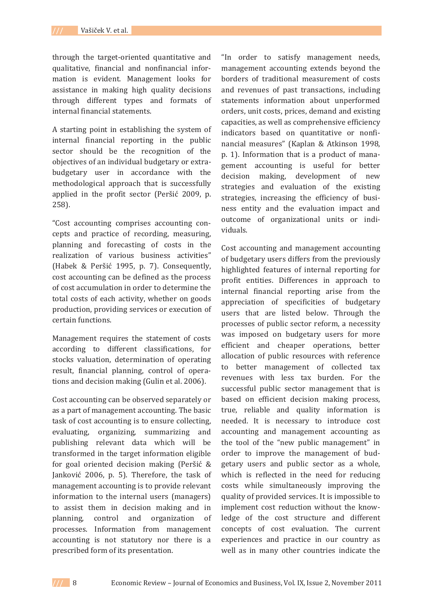through the target-oriented quantitative and qualitative, financial and nonfinancial information is evident. Management looks for assistance in making high quality decisions through different types and formats of internal financial statements.

A starting point in establishing the system of internal financial reporting in the public sector should be the recognition of the objectives of an individual budgetary or extrabudgetary user in accordance with the methodological approach that is successfully applied in the profit sector (Peršić 2009, p.  $258$ ).

"Cost accounting comprises accounting concepts and practice of recording, measuring, planning and forecasting of costs in the realization of various business activities" (Habek & Peršić 1995, p. 7). Consequently, cost accounting can be defined as the process of cost accumulation in order to determine the total costs of each activity, whether on goods production, providing services or execution of certain functions.

Management requires the statement of costs according to different classifications, for stocks valuation, determination of operating result, financial planning, control of operations and decision making (Gulin et al. 2006).

Cost accounting can be observed separately or as a part of management accounting. The basic task of cost accounting is to ensure collecting, evaluating, organizing, summarizing and publishing relevant data which will be transformed in the target information eligible for goal oriented decision making (Peršić & Janković 2006, p. 5). Therefore, the task of management accounting is to provide relevant information to the internal users (managers) to assist them in decision making and in planning, control and organization of processes. Information from management accounting is not statutory nor there is a prescribed form of its presentation.

"In order to satisfy management needs, management accounting extends beyond the borders of traditional measurement of costs and revenues of past transactions, including statements information about unperformed orders, unit costs, prices, demand and existing capacities, as well as comprehensive efficiency indicators based on quantitative or nonfinancial measures" (Kaplan & Atkinson 1998, p. 1). Information that is a product of management accounting is useful for better decision making, development of new strategies and evaluation of the existing strategies, increasing the efficiency of business entity and the evaluation impact and outcome of organizational units or individuals

Cost accounting and management accounting of budgetary users differs from the previously highlighted features of internal reporting for profit entities. Differences in approach to internal financial reporting arise from the appreciation of specificities of budgetary users that are listed below. Through the processes of public sector reform, a necessity was imposed on budgetary users for more efficient and cheaper operations, better allocation of public resources with reference to better management of collected tax revenues with less tax burden. For the successful public sector management that is based on efficient decision making process, true, reliable and quality information is needed. It is necessary to introduce cost accounting and management accounting as the tool of the "new public management" in order to improve the management of budgetary users and public sector as a whole, which is reflected in the need for reducing costs while simultaneously improving the quality of provided services. It is impossible to implement cost reduction without the knowledge of the cost structure and different concepts of cost evaluation. The current experiences and practice in our country as well as in many other countries indicate the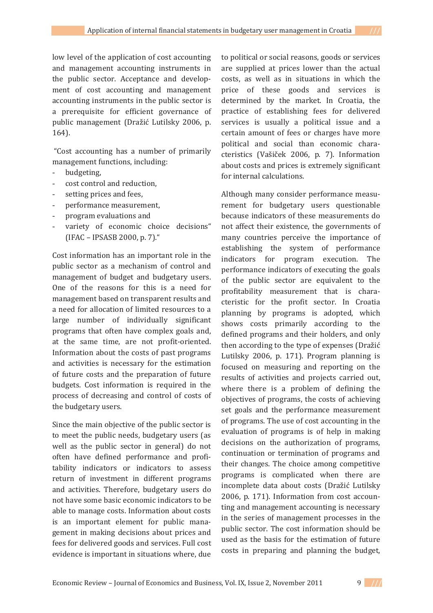low level of the application of cost accounting and management accounting instruments in the public sector. Acceptance and development of cost accounting and management accounting instruments in the public sector is a prerequisite for efficient governance of public management (Dražić Lutilsky 2006, p.  $164$ ).

"Cost accounting has a number of primarily management functions, including:

- budgeting.
- cost control and reduction,
- setting prices and fees,
- performance measurement.
- program evaluations and
- variety of economic choice decisions"  $[IFAC - IPSASB 2000, p. 7].$ "

Cost information has an important role in the public sector as a mechanism of control and management of budget and budgetary users. One of the reasons for this is a need for management based on transparent results and a need for allocation of limited resources to a large number of individually significant programs that often have complex goals and. at the same time, are not profit-oriented. Information about the costs of past programs and activities is necessary for the estimation of future costs and the preparation of future budgets. Cost information is required in the process of decreasing and control of costs of the budgetary users.

Since the main objective of the public sector is to meet the public needs, budgetary users (as well as the public sector in general) do not often have defined performance and profitability indicators or indicators to assess return of investment in different programs and activities. Therefore, budgetary users do not have some basic economic indicators to be able to manage costs. Information about costs is an important element for public management in making decisions about prices and fees for delivered goods and services. Full cost evidence is important in situations where, due

to political or social reasons, goods or services are supplied at prices lower than the actual costs, as well as in situations in which the price of these goods and services is determined by the market. In Croatia, the practice of establishing fees for delivered services is usually a political issue and a certain amount of fees or charges have more political and social than economic characteristics (Vašiček 2006, p. 7). Information about costs and prices is extremely significant for internal calculations.

Although many consider performance measurement for budgetary users questionable because indicators of these measurements do not affect their existence, the governments of many countries perceive the importance of establishing the system of performance indicators for program execution. The performance indicators of executing the goals of the public sector are equivalent to the profitability measurement that is characteristic for the profit sector. In Croatia planning by programs is adopted, which shows costs primarily according to the defined programs and their holders, and only then according to the type of expenses (Dražić Lutilsky 2006, p. 171). Program planning is focused on measuring and reporting on the results of activities and projects carried out, where there is a problem of defining the objectives of programs, the costs of achieving set goals and the performance measurement of programs. The use of cost accounting in the evaluation of programs is of help in making decisions on the authorization of programs. continuation or termination of programs and their changes. The choice among competitive programs is complicated when there are incomplete data about costs (Dražić Lutilsky 2006, p. 171). Information from cost accounting and management accounting is necessary in the series of management processes in the public sector. The cost information should be used as the basis for the estimation of future costs in preparing and planning the budget,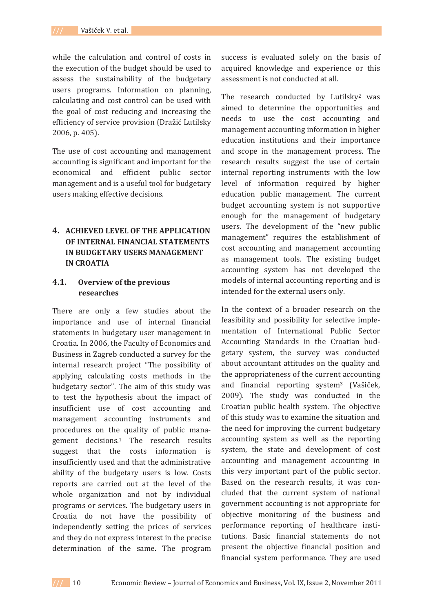while the calculation and control of costs in the execution of the budget should be used to assess the sustainability of the budgetary users programs. Information on planning, calculating and cost control can be used with the goal of cost reducing and increasing the efficiency of service provision (Dražić Lutilsky  $2006. p. 405$ .

The use of cost accounting and management accounting is significant and important for the economical and efficient public sector management and is a useful tool for budgetary users making effective decisions.

# **4. ACHIEVED LEVEL OF THE APPLICATION OF INTERNAL FINANCIAL STATEMENTS IN BUDGETARY USERS MANAGEMENT IN CROATIA**

# **4.1. Overview of the previous researches**

There are only a few studies about the importance and use of internal financial statements in budgetary user management in Croatia. In 2006, the Faculty of Economics and Business in Zagreb conducted a survey for the internal research project "The possibility of applying calculating costs methods in the budgetary sector". The aim of this study was to test the hypothesis about the impact of insufficient use of cost accounting and management accounting instruments and procedures on the quality of public management decisions.<sup>1</sup> The research results suggest that the costs information is insufficiently used and that the administrative ability of the budgetary users is low. Costs reports are carried out at the level of the whole organization and not by individual programs or services. The budgetary users in Croatia do not have the possibility of independently setting the prices of services and they do not express interest in the precise determination of the same. The program

success is evaluated solely on the basis of acquired knowledge and experience or this assessment is not conducted at all.

The research conducted by Lutilsky<sup>2</sup> was aimed to determine the opportunities and needs to use the cost accounting and management accounting information in higher education institutions and their importance and scope in the management process. The research results suggest the use of certain internal reporting instruments with the low level of information required by higher education public management. The current budget accounting system is not supportive enough for the management of budgetary users. The development of the "new public management" requires the establishment of cost accounting and management accounting as management tools. The existing budget accounting system has not developed the models of internal accounting reporting and is intended for the external users only.

In the context of a broader research on the feasibility and possibility for selective implementation of International Public Sector Accounting Standards in the Croatian budgetary system, the survey was conducted about accountant attitudes on the quality and the appropriateness of the current accounting and financial reporting system<sup>3</sup> (Vašiček, 2009). The study was conducted in the Croatian public health system. The objective of this study was to examine the situation and the need for improving the current budgetary accounting system as well as the reporting system, the state and development of cost accounting and management accounting in this very important part of the public sector. Based on the research results, it was concluded that the current system of national government accounting is not appropriate for objective monitoring of the business and performance reporting of healthcare institutions. Basic financial statements do not present the objective financial position and financial system performance. They are used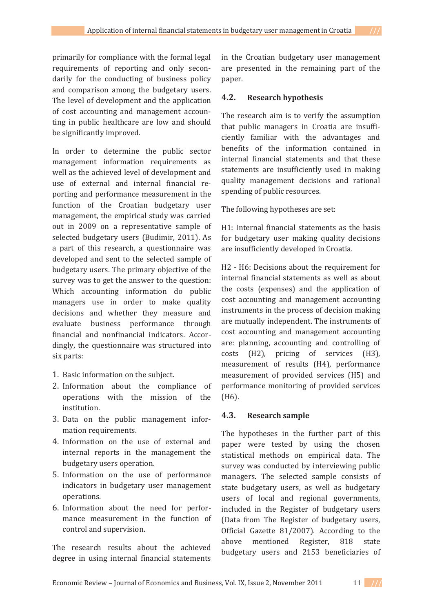primarily for compliance with the formal legal requirements of reporting and only secondarily for the conducting of business policy and comparison among the budgetary users. The level of development and the application of cost accounting and management accounting in public healthcare are low and should be significantly improved.

In order to determine the public sector management information requirements as well as the achieved level of development and use of external and internal financial reporting and performance measurement in the function of the Croatian budgetary user management, the empirical study was carried out in 2009 on a representative sample of selected budgetary users (Budimir, 2011). As a part of this research, a questionnaire was developed and sent to the selected sample of budgetary users. The primary objective of the survey was to get the answer to the question: Which accounting information do public managers use in order to make quality decisions and whether they measure and evaluate business performance through financial and nonfinancial indicators. Accordingly, the questionnaire was structured into six parts:

- 1. Basic information on the subject.
- 2. Information about the compliance of operations with the mission of the institution.
- 3. Data on the public management information requirements.
- 4. Information on the use of external and internal reports in the management the budgetary users operation.
- 5. Information on the use of performance indicators in budgetary user management operations.
- 6. Information about the need for performance measurement in the function of control and supervision.

The research results about the achieved degree in using internal financial statements

in the Croatian budgetary user management are presented in the remaining part of the paper.

### **4.2. Research hypothesis**

The research aim is to verify the assumption that public managers in Croatia are insufficiently familiar with the advantages and benefits of the information contained in internal financial statements and that these statements are insufficiently used in making quality management decisions and rational spending of public resources.

The following hypotheses are set:

H1: Internal financial statements as the basis for budgetary user making quality decisions are insufficiently developed in Croatia.

H<sub>2</sub> - H<sub>6</sub>: Decisions about the requirement for internal financial statements as well as about the costs (expenses) and the application of cost accounting and management accounting instruments in the process of decision making are mutually independent. The instruments of cost accounting and management accounting are: planning, accounting and controlling of costs (H2), pricing of services (H3), measurement of results (H4), performance measurement of provided services (H5) and performance monitoring of provided services  $(H6)$ .

## **4.3. Research sample**

The hypotheses in the further part of this paper were tested by using the chosen statistical methods on empirical data. The survey was conducted by interviewing public managers. The selected sample consists of state budgetary users, as well as budgetary users of local and regional governments, included in the Register of budgetary users (Data from The Register of budgetary users, Official Gazette 81/2007). According to the above mentioned Register, 818 state budgetary users and 2153 beneficiaries of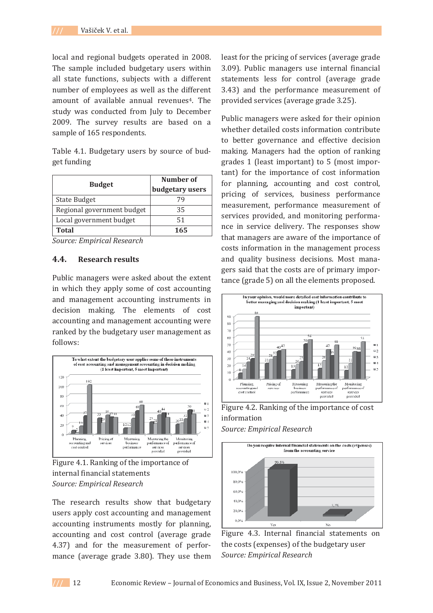local and regional budgets operated in 2008. The sample included budgetary users within all state functions, subjects with a different number of employees as well as the different amount of available annual revenues<sup>4</sup>. The study was conducted from July to December 2009. The survey results are based on a sample of 165 respondents.

Table 4.1. Budgetary users by source of budget funding

|                            | Number of       |  |
|----------------------------|-----------------|--|
| <b>Budget</b>              | budgetary users |  |
| <b>State Budget</b>        | 79              |  |
| Regional government budget | 35              |  |
| Local government budget    | 51              |  |
| Total                      | 165             |  |

*Source: Empirical Research*

### **4.4. Research results**

Public managers were asked about the extent in which they apply some of cost accounting and management accounting instruments in decision making. The elements of cost accounting and management accounting were ranked by the budgetary user management as follows:



Figure 4.1. Ranking of the importance of internal financial statements *Source: Empirical Research*

The research results show that budgetary users apply cost accounting and management accounting instruments mostly for planning, accounting and cost control (average grade 4.37) and for the measurement of performance (average grade 3.80). They use them least for the pricing of services (average grade 3.09). Public managers use internal financial statements less for control (average grade 3.43) and the performance measurement of provided services (average grade 3.25).

Public managers were asked for their opinion whether detailed costs information contribute to better governance and effective decision making. Managers had the option of ranking grades 1 (least important) to 5 (most important) for the importance of cost information for planning, accounting and cost control, pricing of services, business performance measurement, performance measurement of services provided, and monitoring performance in service delivery. The responses show that managers are aware of the importance of costs information in the management process and quality business decisions. Most managers said that the costs are of primary importance (grade 5) on all the elements proposed.



Figure 4.2. Ranking of the importance of cost information





Figure 4.3. Internal financial statements on the costs (expenses) of the budgetary user *Source: Empirical Research*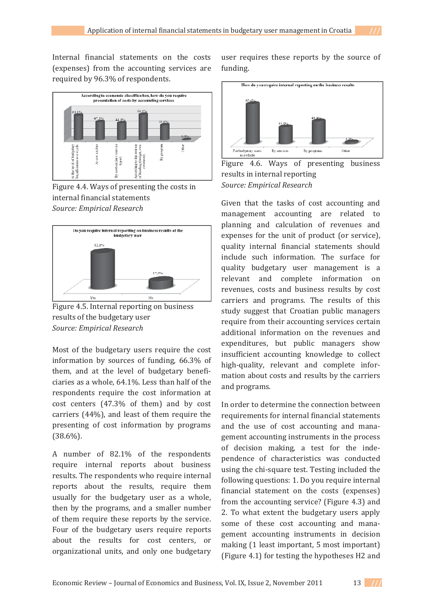Internal financial statements on the costs (expenses) from the accounting services are required by 96.3% of respondents.



Figure 4.4. Ways of presenting the costs in internal financial statements *Source: Empirical Research*



Figure 4.5. Internal reporting on business results of the budgetary user *Source: Empirical Research*

Most of the budgetary users require the cost information by sources of funding, 66.3% of them, and at the level of budgetary beneficiaries as a whole, 64.1%. Less than half of the respondents require the cost information at cost centers (47.3% of them) and by cost carriers (44%), and least of them require the presenting of cost information by programs  $(38.6\%)$ .

A number of 82.1% of the respondents require internal reports about business results. The respondents who require internal reports about the results, require them usually for the budgetary user as a whole, then by the programs, and a smaller number of them require these reports by the service. Four of the budgetary users require reports about the results for cost centers, or organizational units, and only one budgetary user requires these reports by the source of funding.



Figure 4.6. Ways of presenting business results in internal reporting *Source: Empirical Research*

Given that the tasks of cost accounting and management accounting are related to planning and calculation of revenues and expenses for the unit of product (or service), quality internal financial statements should include such information. The surface for quality budgetary user management is a relevant and complete information on revenues, costs and business results by cost carriers and programs. The results of this study suggest that Croatian public managers require from their accounting services certain additional information on the revenues and expenditures, but public managers show insufficient accounting knowledge to collect high-quality, relevant and complete information about costs and results by the carriers and programs.

In order to determine the connection between requirements for internal financial statements and the use of cost accounting and management accounting instruments in the process of decision making, a test for the independence of characteristics was conducted using the chi-square test. Testing included the following questions: 1. Do you require internal financial statement on the costs (expenses) from the accounting service? (Figure 4.3) and 2. To what extent the budgetary users apply some of these cost accounting and management accounting instruments in decision making (1 least important, 5 most important) (Figure 4.1) for testing the hypotheses H2 and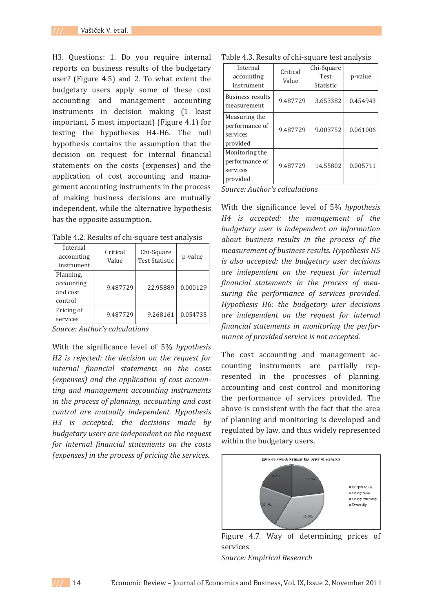H3. Questions: 1. Do you require internal reports on business results of the budgetary user? (Figure 4.5) and 2. To what extent the budgetary users apply some of these cost accounting and management accounting instruments in decision making (1 least important, 5 most important) (Figure 4.1) for testing the hypotheses H4-H6. The null hypothesis contains the assumption that the decision on request for internal financial statements on the costs (expenses) and the application of cost accounting and management accounting instruments in the process of making business decisions are mutually independent, while the alternative hypothesis has the opposite assumption.

| Internal<br>accounting<br>instrument           | Critical<br>Value | Chi-Square<br><b>Test Statistic</b> | p-value  |
|------------------------------------------------|-------------------|-------------------------------------|----------|
| Planning,<br>accounting<br>and cost<br>control | 9.487729          | 22.95889                            | 0.000129 |
| Pricing of<br>services                         | 9.487729          | 9.268161                            | 0.054735 |

Table 4.2. Results of chi-square test analysis

*Source: Author's calculations*

With the significance level of 5% *hypothesis H2 is rejected: the decision on the request for internal financial statements on the costs (expenses) and the application of cost accounǦ ting and management accounting instruments in the process of planning, accounting and cost control are mutually independent. Hypothesis H3 is accepted: the decisions made by budgetary users are independent on the request for internal financial statements on the costs (expenses) in the process of pricing the services.*

#### Table 4.3. Results of chi-square test analysis

| Internal<br>accounting<br>instrument                     | Critical<br>Value | Chi-Square<br><b>Test</b><br><b>Statistic</b> | p-value  |
|----------------------------------------------------------|-------------------|-----------------------------------------------|----------|
| Business results<br>measurement                          | 9.487729          | 3.653382                                      | 0.454943 |
| Measuring the<br>performance of<br>services<br>provided  | 9.487729          | 9.003752                                      | 0.061006 |
| Monitoring the<br>performance of<br>services<br>provided | 9.487729          | 14.55802                                      | 0.005711 |

*Source: Author's calculations*

With the significance level of 5% *hypothesis H4 is accepted: the management of the budgetary user is independent on information about business results in the process of the measurement of business results. Hypothesis H5 is also accepted: the budgetary user decisions are independent on the request for internal financial statements in the process of meaǦ suring the performance of services provided. Hypothesis H6: the budgetary user decisions are independent on the request for internal financial statements in monitoring the perforǦ mance of provided service is not accepted.*

The cost accounting and management accounting instruments are partially represented in the processes of planning, accounting and cost control and monitoring the performance of services provided. The above is consistent with the fact that the area of planning and monitoring is developed and regulated by law, and thus widely represented within the budgetary users.



Figure 4.7. Way of determining prices of services *Source: Empirical Research*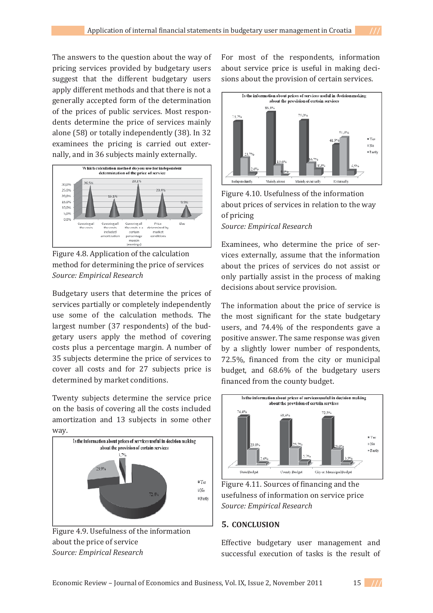The answers to the question about the way of pricing services provided by budgetary users suggest that the different budgetary users apply different methods and that there is not a generally accepted form of the determination of the prices of public services. Most respondents determine the price of services mainly alone (58) or totally independently (38). In 32 examinees the pricing is carried out externally, and in 36 subjects mainly externally.



Figure 4.8. Application of the calculation method for determining the price of services *Source: Empirical Research*

Budgetary users that determine the prices of services partially or completely independently use some of the calculation methods. The largest number (37 respondents) of the budgetary users apply the method of covering costs plus a percentage margin. A number of 35 subjects determine the price of services to cover all costs and for 27 subjects price is determined by market conditions.

Twenty subjects determine the service price on the basis of covering all the costs included amortization and 13 subjects in some other way.



Figure 4.9. Usefulness of the information about the price of service *Source: Empirical Research*

For most of the respondents, information about service price is useful in making decisions about the provision of certain services.



Figure 4.10. Usefulness of the information about prices of services in relation to the way of pricing *Source: Empirical Research*

Examinees, who determine the price of services externally, assume that the information about the prices of services do not assist or only partially assist in the process of making decisions about service provision.

The information about the price of service is the most significant for the state budgetary users, and 74.4% of the respondents gave a positive answer. The same response was given by a slightly lower number of respondents, 72.5%, financed from the city or municipal budget, and 68.6% of the budgetary users financed from the county budget.



Figure 4.11. Sources of financing and the usefulness of information on service price *Source: Empirical Research*

## **5. CONCLUSION**

Effective budgetary user management and successful execution of tasks is the result of

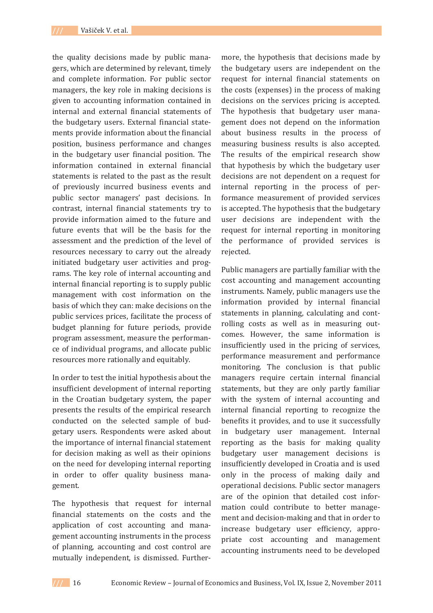the quality decisions made by public managers, which are determined by relevant, timely and complete information. For public sector managers, the key role in making decisions is given to accounting information contained in internal and external financial statements of the budgetary users. External financial statements provide information about the financial position, business performance and changes in the budgetary user financial position. The information contained in external financial statements is related to the past as the result of previously incurred business events and public sector managers' past decisions. In contrast, internal financial statements try to provide information aimed to the future and future events that will be the basis for the assessment and the prediction of the level of resources necessary to carry out the already initiated budgetary user activities and programs. The key role of internal accounting and internal financial reporting is to supply public management with cost information on the basis of which they can: make decisions on the public services prices, facilitate the process of budget planning for future periods, provide program assessment, measure the performance of individual programs, and allocate public resources more rationally and equitably.

In order to test the initial hypothesis about the insufficient development of internal reporting in the Croatian budgetary system, the paper presents the results of the empirical research conducted on the selected sample of budgetary users. Respondents were asked about the importance of internal financial statement for decision making as well as their opinions on the need for developing internal reporting in order to offer quality business management.

The hypothesis that request for internal financial statements on the costs and the application of cost accounting and management accounting instruments in the process of planning, accounting and cost control are mutually independent, is dismissed. Further-

more, the hypothesis that decisions made by the budgetary users are independent on the request for internal financial statements on the costs (expenses) in the process of making decisions on the services pricing is accepted. The hypothesis that budgetary user management does not depend on the information about business results in the process of measuring business results is also accepted. The results of the empirical research show that hypothesis by which the budgetary user decisions are not dependent on a request for internal reporting in the process of performance measurement of provided services is accepted. The hypothesis that the budgetary user decisions are independent with the request for internal reporting in monitoring the performance of provided services is rejected.

Public managers are partially familiar with the cost accounting and management accounting instruments. Namely, public managers use the information provided by internal financial statements in planning, calculating and controlling costs as well as in measuring outcomes. However, the same information is insufficiently used in the pricing of services, performance measurement and performance monitoring. The conclusion is that public managers require certain internal financial statements, but they are only partly familiar with the system of internal accounting and internal financial reporting to recognize the benefits it provides, and to use it successfully in budgetary user management. Internal reporting as the basis for making quality budgetary user management decisions is insufficiently developed in Croatia and is used only in the process of making daily and operational decisions. Public sector managers are of the opinion that detailed cost information could contribute to better management and decision-making and that in order to increase budgetary user efficiency, appropriate cost accounting and management accounting instruments need to be developed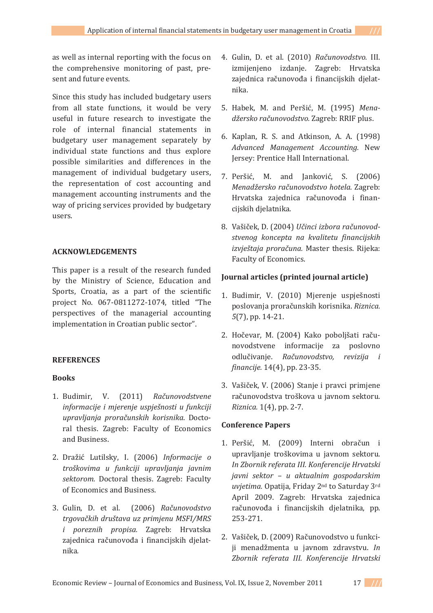as well as internal reporting with the focus on the comprehensive monitoring of past, present and future events.

Since this study has included budgetary users from all state functions, it would be very useful in future research to investigate the role of internal financial statements in budgetary user management separately by individual state functions and thus explore possible similarities and differences in the management of individual budgetary users, the representation of cost accounting and management accounting instruments and the way of pricing services provided by budgetary users.

## **ACKNOWLEDGEMENTS**

This paper is a result of the research funded by the Ministry of Science, Education and Sports, Croatia, as a part of the scientific project No. 067-0811272-1074, titled "The perspectives of the managerial accounting implementation in Croatian public sector".

## **REFERENCES**

## **Books**

- 1. Budimir. V. (2011) Računovodstvene *informacije i mjerenje uspješnosti u funkciji upravljanja proračunskih korisnika*. Doctoral thesis. Zagreb: Faculty of Economics and Business.
- 2. Dražić Lutilsky, I. (2006) Informacije o *troškovima u funkciji upravljanja javnim* sektorom. Doctoral thesis. Zagreb: Faculty of Economics and Business.
- 3. Gulin, D. et al. (2006) Računovodstvo *trgova«kih društava uz primjenu MSFI/MRS i poreznih propisa.* Zagreb: Hrvatska zajednica računovođa i financijskih djelat-*.*
- 4. Gulin, D. et al. (2010) Računovodstvo. III. izmijenjeno izdanje. Zagreb: Hrvatska zajednica računovođa i financijskih djelatnika.
- 5. Habek, M. and Peršić, M. (1995) Mena $d\zeta$ *ersko računovodstvo.* Zagreb: RRIF plus.
- 6. Kaplan, R. S. and Atkinson, A. A. (1998) *Advanced Management Accounting.* Jersey: Prentice Hall International.
- 7. Peršić, M. and Janković, S. (2006)  $M$ enadžersko računovodstvo hotela. Zagreb: Hrvatska zajednica računovođa i financijskih djelatnika.
- 8. Vašiček, D. (2004) *Učinci izbora računovodstvenog koncepta na kvalitetu financijskih izvještaja proračuna.* Master thesis. Rijeka: Faculty of Economics.

### **Journal articles (printed journal article)**

- 1. Budimir, V. (2010) Mjerenje uspješnosti poslovanja proračunskih korisnika. Riznica.  $5(7)$ , pp. 14-21.
- 2. Hočevar, M. (2004) Kako poboljšati računovodstvene informacije za poslovno «Ǥ *Ra«unovodstvo, revizija i financije.* 14(4), pp. 23-35.
- 3. Vašiček, V. (2006) Stanje i pravci primjene računovodstva troškova u javnom sektoru. *Riznica.* 1(4), pp. 2-7.

### **Conference Papers**

- 1. Peršić, M. (2009) Interni obračun i upravljanje troškovima u javnom sektoru. *In Zbornik referata III. Konferencije Hrvatski javni sektor – u aktualnim gospodarskim uvjetima.* Opatija, Friday 2<sup>nd</sup> to Saturday 3<sup>rd</sup> April 2009. Zagreb: Hrvatska zajednica računovođa i financijskih djelatnika, pp.  $253 - 271.$
- 2. Vašiček. D. (2009) Računovodstvo u funkciji menadžmenta u javnom zdravstvu. In *Zbornik referata III. Konferencije Hrvatski*